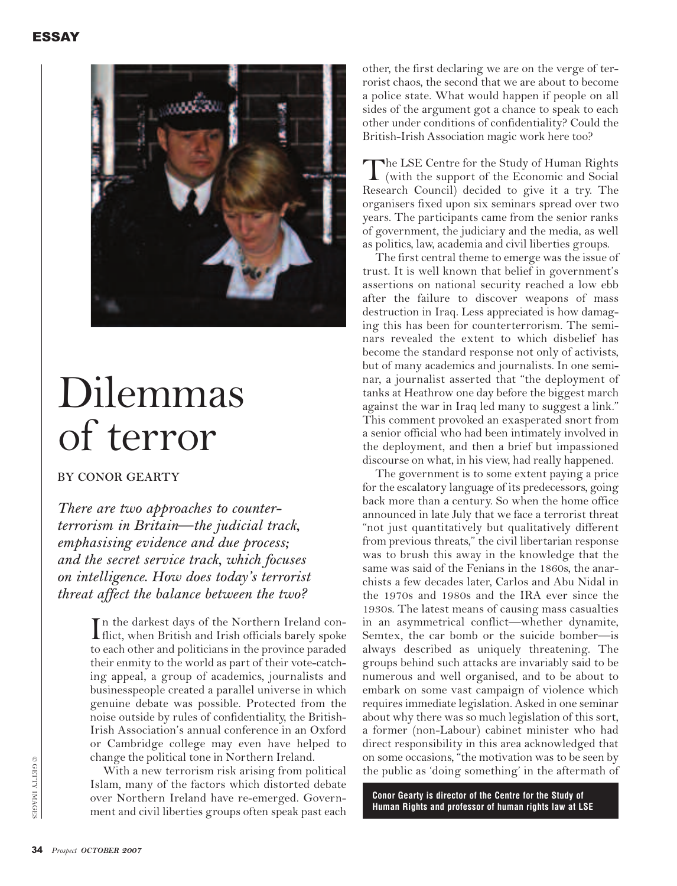

# Dilemmas of terror

**BY CONOR GEARTY**

*There are two approaches to counterterrorism in Britain—the judicial track, emphasising evidence and due process; and the secret service track, which focuses on intelligence. How does today's terrorist threat affect the balance between the two?*

> In the darkest days of the Northern Ireland con-<br>flict, when British and Irish officials barely spoke flict, when British and Irish officials barely spoke to each other and politicians in the province paraded their enmity to the world as part of their vote-catching appeal, a group of academics, journalists and businesspeople created a parallel universe in which genuine debate was possible. Protected from the noise outside by rules of confidentiality, the British-Irish Association's annual conference in an Oxford or Cambridge college may even have helped to change the political tone in Northern Ireland.

> With a new terrorism risk arising from political Islam, many of the factors which distorted debate over Northern Ireland have re-emerged. Government and civil liberties groups often speak past each

other, the first declaring we are on the verge of terrorist chaos, the second that we are about to become a police state. What would happen if people on all sides of the argument got a chance to speak to each other under conditions of confidentiality? Could the British-Irish Association magic work here too?

The LSE Centre for the Study of Human Rights<br>
(with the support of the Economic and Social<br>
Research Council) decided to give it a twy The Research Council) decided to give it a try. The organisers fixed upon six seminars spread over two years. The participants came from the senior ranks of government, the judiciary and the media, as well as politics, law, academia and civil liberties groups.

The first central theme to emerge was the issue of trust. It is well known that belief in government's assertions on national security reached a low ebb after the failure to discover weapons of mass destruction in Iraq. Less appreciated is how damaging this has been for counterterrorism. The seminars revealed the extent to which disbelief has become the standard response not only of activists, but of many academics and journalists. In one seminar, a journalist asserted that "the deployment of tanks at Heathrow one day before the biggest march against the war in Iraq led many to suggest a link." This comment provoked an exasperated snort from a senior official who had been intimately involved in the deployment, and then a brief but impassioned discourse on what, in his view, had really happened.

The government is to some extent paying a price for the escalatory language of its predecessors, going back more than a century. So when the home office announced in late July that we face a terrorist threat "not just quantitatively but qualitatively different from previous threats," the civil libertarian response was to brush this away in the knowledge that the same was said of the Fenians in the 1860s, the anarchists a few decades later, Carlos and Abu Nidal in the 1970s and 1980s and the IRA ever since the 1930s. The latest means of causing mass casualties in an asymmetrical conflict—whether dynamite, Semtex, the car bomb or the suicide bomber—is always described as uniquely threatening. The groups behind such attacks are invariably said to be numerous and well organised, and to be about to embark on some vast campaign of violence which requires immediate legislation. Asked in one seminar about why there was so much legislation of this sort, a former (non-Labour) cabinet minister who had direct responsibility in this area acknowledged that on some occasions, "the motivation was to be seen by the public as 'doing something' in the aftermath of

**Conor Gearty is director of the Centre for the Study of Human Rights and professor of human rights law at LSE**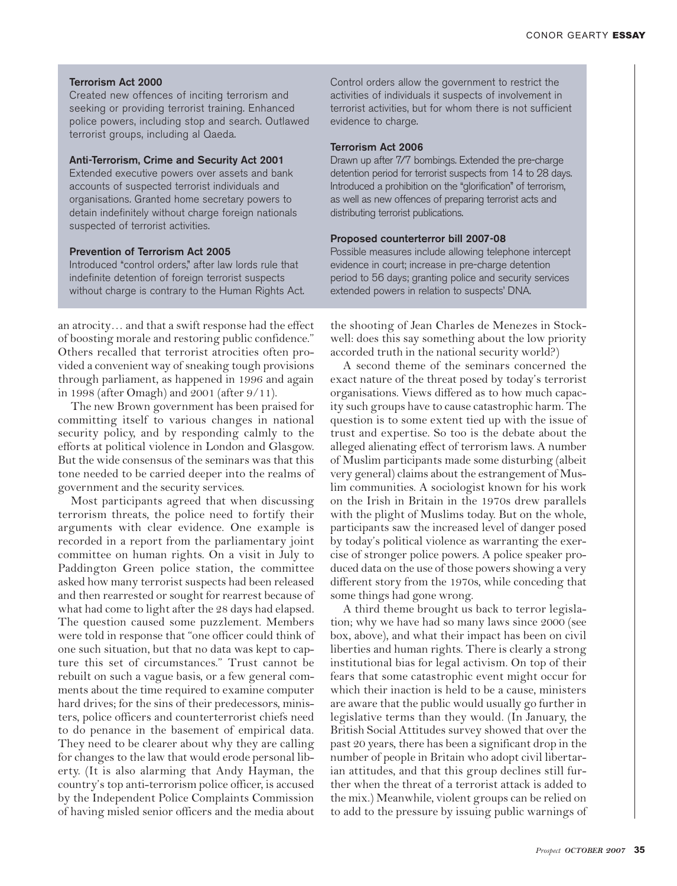## **Terrorism Act 2000**

Created new offences of inciting terrorism and seeking or providing terrorist training. Enhanced police powers, including stop and search. Outlawed terrorist groups, including al Qaeda.

## **Anti-Terrorism, Crime and Security Act 2001**

Extended executive powers over assets and bank accounts of suspected terrorist individuals and organisations. Granted home secretary powers to detain indefinitely without charge foreign nationals suspected of terrorist activities.

## **Prevention of Terrorism Act 2005**

Introduced "control orders," after law lords rule that indefinite detention of foreign terrorist suspects without charge is contrary to the Human Rights Act.

an atrocity… and that a swift response had the effect of boosting morale and restoring public confidence." Others recalled that terrorist atrocities often provided a convenient way of sneaking tough provisions through parliament, as happened in 1996 and again in 1998 (after Omagh) and 2001 (after 9/11).

The new Brown government has been praised for committing itself to various changes in national security policy, and by responding calmly to the efforts at political violence in London and Glasgow. But the wide consensus of the seminars was that this tone needed to be carried deeper into the realms of government and the security services.

Most participants agreed that when discussing terrorism threats, the police need to fortify their arguments with clear evidence. One example is recorded in a report from the parliamentary joint committee on human rights. On a visit in July to Paddington Green police station, the committee asked how many terrorist suspects had been released and then rearrested or sought for rearrest because of what had come to light after the 28 days had elapsed. The question caused some puzzlement. Members were told in response that "one officer could think of one such situation, but that no data was kept to capture this set of circumstances." Trust cannot be rebuilt on such a vague basis, or a few general comments about the time required to examine computer hard drives; for the sins of their predecessors, ministers, police officers and counterterrorist chiefs need to do penance in the basement of empirical data. They need to be clearer about why they are calling for changes to the law that would erode personal liberty. (It is also alarming that Andy Hayman, the country's top anti-terrorism police officer, is accused by the Independent Police Complaints Commission of having misled senior officers and the media about

Control orders allow the government to restrict the activities of individuals it suspects of involvement in terrorist activities, but for whom there is not sufficient evidence to charge.

### **Terrorism Act 2006**

Drawn up after 7/7 bombings. Extended the pre-charge detention period for terrorist suspects from 14 to 28 days. Introduced a prohibition on the "glorification" of terrorism, as well as new offences of preparing terrorist acts and distributing terrorist publications.

# **Proposed counterterror bill 2007-08**

Possible measures include allowing telephone intercept evidence in court; increase in pre-charge detention period to 56 days; granting police and security services extended powers in relation to suspects' DNA.

the shooting of Jean Charles de Menezes in Stockwell: does this say something about the low priority accorded truth in the national security world?)

A second theme of the seminars concerned the exact nature of the threat posed by today's terrorist organisations. Views differed as to how much capacity such groups have to cause catastrophic harm. The question is to some extent tied up with the issue of trust and expertise. So too is the debate about the alleged alienating effect of terrorism laws. A number of Muslim participants made some disturbing (albeit very general) claims about the estrangement of Muslim communities. A sociologist known for his work on the Irish in Britain in the 1970s drew parallels with the plight of Muslims today. But on the whole, participants saw the increased level of danger posed by today's political violence as warranting the exercise of stronger police powers. A police speaker produced data on the use of those powers showing a very different story from the 1970s, while conceding that some things had gone wrong.

A third theme brought us back to terror legislation; why we have had so many laws since 2000 (see box, above), and what their impact has been on civil liberties and human rights. There is clearly a strong institutional bias for legal activism. On top of their fears that some catastrophic event might occur for which their inaction is held to be a cause, ministers are aware that the public would usually go further in legislative terms than they would. (In January, the British Social Attitudes survey showed that over the past 20 years, there has been a significant drop in the number of people in Britain who adopt civil libertarian attitudes, and that this group declines still further when the threat of a terrorist attack is added to the mix.) Meanwhile, violent groups can be relied on to add to the pressure by issuing public warnings of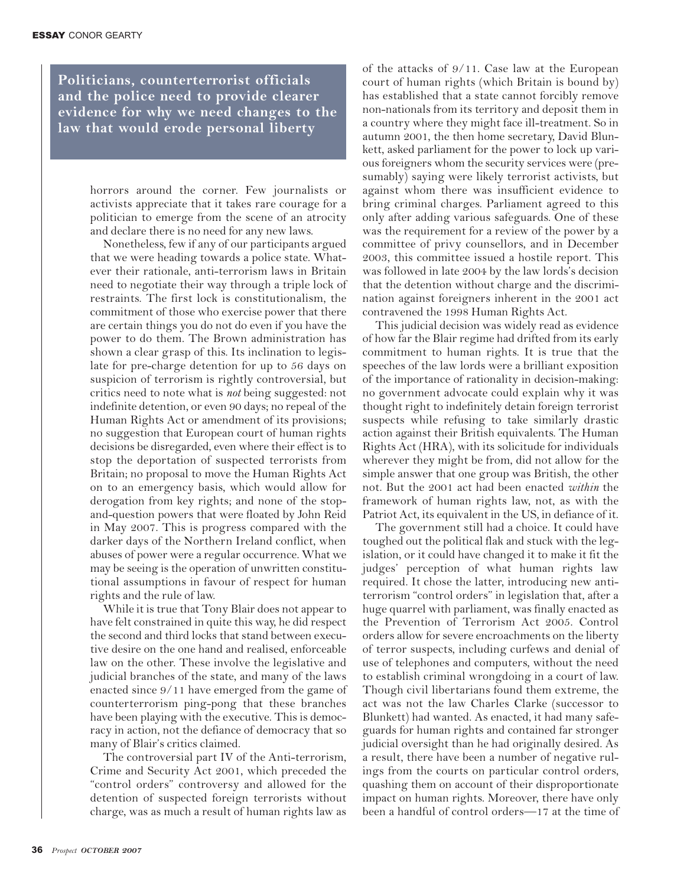**Politicians, counterterrorist officials and the police need to provide clearer evidence for why we need changes to the law that would erode personal liberty**

> horrors around the corner. Few journalists or activists appreciate that it takes rare courage for a politician to emerge from the scene of an atrocity and declare there is no need for any new laws.

> Nonetheless, few if any of our participants argued that we were heading towards a police state. Whatever their rationale, anti-terrorism laws in Britain need to negotiate their way through a triple lock of restraints. The first lock is constitutionalism, the commitment of those who exercise power that there are certain things you do not do even if you have the power to do them. The Brown administration has shown a clear grasp of this. Its inclination to legislate for pre-charge detention for up to 56 days on suspicion of terrorism is rightly controversial, but critics need to note what is *not* being suggested: not indefinite detention, or even 90 days; no repeal of the Human Rights Act or amendment of its provisions; no suggestion that European court of human rights decisions be disregarded, even where their effect is to stop the deportation of suspected terrorists from Britain; no proposal to move the Human Rights Act on to an emergency basis, which would allow for derogation from key rights; and none of the stopand-question powers that were floated by John Reid in May 2007. This is progress compared with the darker days of the Northern Ireland conflict, when abuses of power were a regular occurrence. What we may be seeing is the operation of unwritten constitutional assumptions in favour of respect for human rights and the rule of law.

> While it is true that Tony Blair does not appear to have felt constrained in quite this way, he did respect the second and third locks that stand between executive desire on the one hand and realised, enforceable law on the other. These involve the legislative and judicial branches of the state, and many of the laws enacted since 9/11 have emerged from the game of counterterrorism ping-pong that these branches have been playing with the executive. This is democracy in action, not the defiance of democracy that so many of Blair's critics claimed.

> The controversial part IV of the Anti-terrorism, Crime and Security Act 2001, which preceded the "control orders" controversy and allowed for the detention of suspected foreign terrorists without charge, was as much a result of human rights law as

of the attacks of 9/11. Case law at the European court of human rights (which Britain is bound by) has established that a state cannot forcibly remove non-nationals from its territory and deposit them in a country where they might face ill-treatment. So in autumn 2001, the then home secretary, David Blunkett, asked parliament for the power to lock up various foreigners whom the security services were (presumably) saying were likely terrorist activists, but against whom there was insufficient evidence to bring criminal charges. Parliament agreed to this only after adding various safeguards. One of these was the requirement for a review of the power by a committee of privy counsellors, and in December 2003, this committee issued a hostile report. This was followed in late 2004 by the law lords's decision that the detention without charge and the discrimination against foreigners inherent in the 2001 act contravened the 1998 Human Rights Act.

This judicial decision was widely read as evidence of how far the Blair regime had drifted from its early commitment to human rights. It is true that the speeches of the law lords were a brilliant exposition of the importance of rationality in decision-making: no government advocate could explain why it was thought right to indefinitely detain foreign terrorist suspects while refusing to take similarly drastic action against their British equivalents. The Human Rights Act (HRA), with its solicitude for individuals wherever they might be from, did not allow for the simple answer that one group was British, the other not. But the 2001 act had been enacted *within* the framework of human rights law, not, as with the Patriot Act, its equivalent in the US, in defiance of it.

The government still had a choice. It could have toughed out the political flak and stuck with the legislation, or it could have changed it to make it fit the judges' perception of what human rights law required. It chose the latter, introducing new antiterrorism "control orders" in legislation that, after a huge quarrel with parliament, was finally enacted as the Prevention of Terrorism Act 2005. Control orders allow for severe encroachments on the liberty of terror suspects, including curfews and denial of use of telephones and computers, without the need to establish criminal wrongdoing in a court of law. Though civil libertarians found them extreme, the act was not the law Charles Clarke (successor to Blunkett) had wanted. As enacted, it had many safeguards for human rights and contained far stronger judicial oversight than he had originally desired. As a result, there have been a number of negative rulings from the courts on particular control orders, quashing them on account of their disproportionate impact on human rights. Moreover, there have only been a handful of control orders—17 at the time of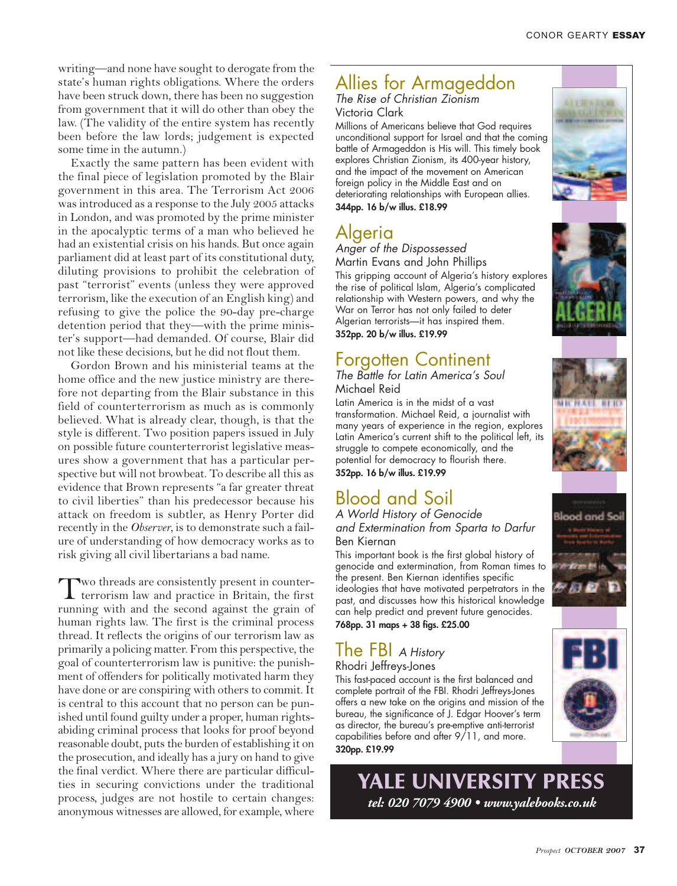writing—and none have sought to derogate from the state's human rights obligations. Where the orders have been struck down, there has been no suggestion from government that it will do other than obey the law. (The validity of the entire system has recently been before the law lords; judgement is expected some time in the autumn.)

Exactly the same pattern has been evident with the final piece of legislation promoted by the Blair government in this area. The Terrorism Act 2006 was introduced as a response to the July 2005 attacks in London, and was promoted by the prime minister in the apocalyptic terms of a man who believed he had an existential crisis on his hands. But once again parliament did at least part of its constitutional duty, diluting provisions to prohibit the celebration of past "terrorist" events (unless they were approved terrorism, like the execution of an English king) and refusing to give the police the 90-day pre-charge detention period that they—with the prime minis ter's support—had demanded. Of course, Blair did not like these decisions, but he did not flout them.

Gordon Brown and his ministerial teams at the home office and the new justice ministry are therefore not departing from the Blair substance in this field of counterterrorism as much as is commonly belie ved. What is already clear, though, is that the style is different. Two position papers issued in Jul y on possible future counterterrorist legislative measures show a government that has a particular perspective but will not browbeat. To describe all this as evidence that Brown represents "a far greater threat to civil liberties" than his predecessor because his attack on freedom is subtler, as Henry Porter did recently in the *Observer*, is to demonstrate such a failure of understanding of how democracy works as to

risk giving all civil libertarians a bad name.<br>
Two threads are consistently present in counter-<br>
terrorism law and practice in Britain, the first<br>
terrorism law and practice in Britain, the first running with and the second against the grain of human rights law. The first is the criminal process thread. It reflects the origins of our terrorism law as primarily a policing matter. From this perspective, the goal of counterterrorism law is punitive: the punishment of offenders for politically motivated harm they have done or are conspiring with others to commit. It is central to this account that no person can be punished until found guilty under a proper, human rightsabiding criminal process that looks for proof beyond reasonable doubt, puts the burden of establishing it on the prosecution, and ideally has a jury on hand to give the final verdict. Where there are particular difficulties in securing convictions under the traditional process, judges are not hostile to certain changes: anonymous witnesses are allo wed, for example, where

Alliess for Armagedol China Ziemian (1991)<br>
The Rise of China Ziemian China China China China China China China China China China China China China China China China China China China China China China China China China C